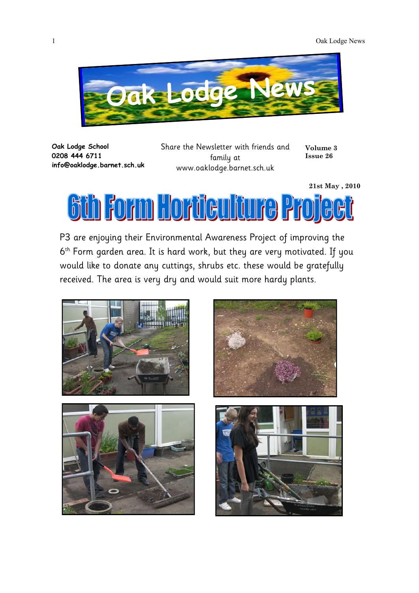

**Oak Lodge School 0208 444 6711 info@oaklodge.barnet.sch.uk** Share the Newsletter with friends and family at www.oaklodge.barnet.sch.uk

**21st May , 2010**

**Volume 3 Issue 26**

<u>Sth Form Horticulture Project</u>

P3 are enjoying their Environmental Awareness Project of improving the 6 th Form garden area. It is hard work, but they are very motivated. If you would like to donate any cuttings, shrubs etc. these would be gratefully received. The area is very dry and would suit more hardy plants.

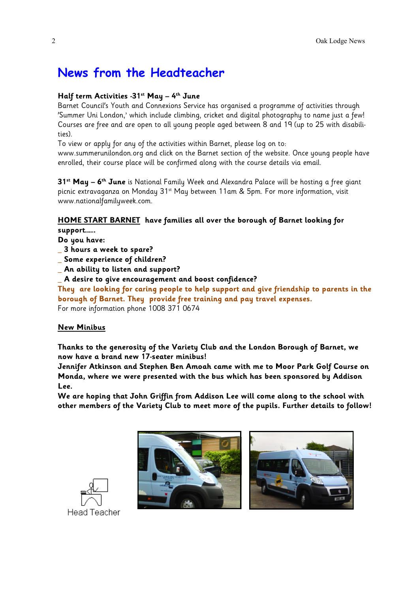## **News from the Headteacher**

#### **Half term Activities -31st May – 4 th June**

Barnet Council's Youth and Connexions Service has organised a programme of activities through 'Summer Uni London,' which include climbing, cricket and digital photography to name just a few! Courses are free and are open to all young people aged between 8 and 19 (up to 25 with disabilities).

To view or apply for any of the activities within Barnet, please log on to:

www.summerunilondon.org and click on the Barnet section of the website. Once young people have enrolled, their course place will be confirmed along with the course details via email.

**31st May – 6 th June** is National Family Week and Alexandra Palace will be hosting a free giant picnic extravaganza on Monday 31<sup>st</sup> May between 11am & 5pm. For more information, visit www.nationalfamilyweek.com.

#### **HOME START BARNET have families all over the borough of Barnet looking for**

**support…….**

**Do you have:**

- \_ **3 hours a week to spare?**
- \_ **Some experience of children?**

\_ **An ability to listen and support?**

\_ **A desire to give encouragement and boost confidence?**

**They are looking for caring people to help support and give friendship to parents in the borough of Barnet. They provide free training and pay travel expenses.** For more information phone 1008 371 0674

#### **New Minibus**

**Thanks to the generosity of the Variety Club and the London Borough of Barnet, we now have a brand new 17-seater minibus!**

**Jennifer Atkinson and Stephen Ben Amoah came with me to Moor Park Golf Course on Monda, where we were presented with the bus which has been sponsored by Addison Lee.**

**We are hoping that John Griffin from Addison Lee will come along to the school with other members of the Variety Club to meet more of the pupils. Further details to follow!**



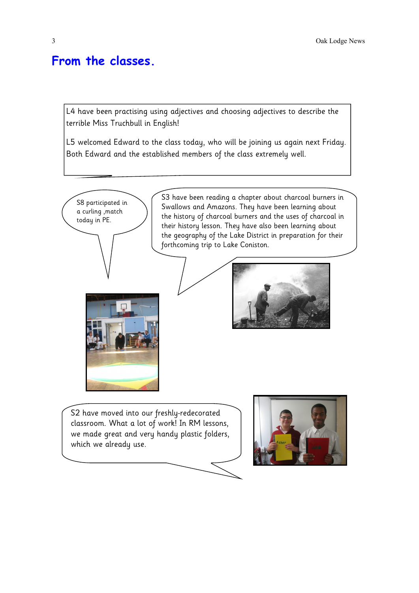### **From the classes.**

L4 have been practising using adjectives and choosing adjectives to describe the terrible Miss Truchbull in English!

L5 welcomed Edward to the class today, who will be joining us again next Friday. Both Edward and the established members of the class extremely well.